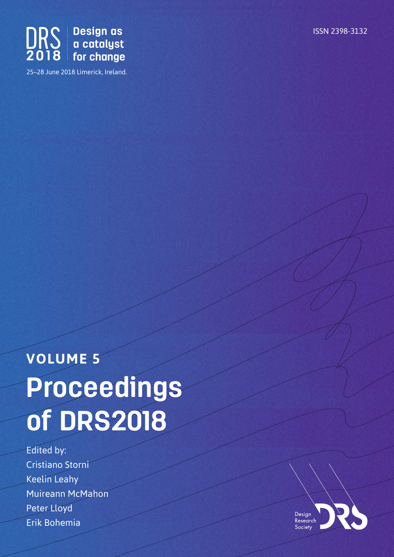



25–28 June 2018 Limerick, Ireland.

# **VOLUME 5 Proceedings of DRS2018**

Edited by: Cristiano Storni Keelin Leahy Muireann McMahon Peter Lloyd Erik Bohemia

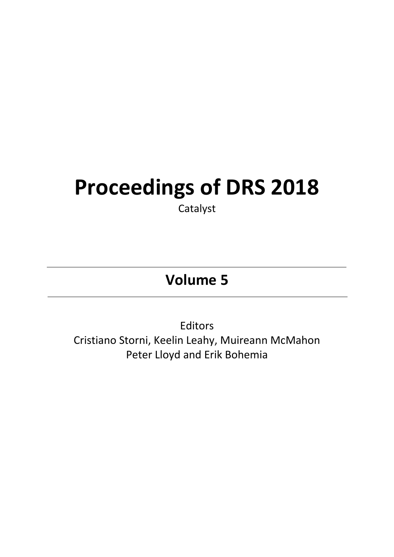## **Proceedings of DRS 2018**

Catalyst

### **Volume 5**

Editors Cristiano Storni, Keelin Leahy, Muireann McMahon Peter Lloyd and Erik Bohemia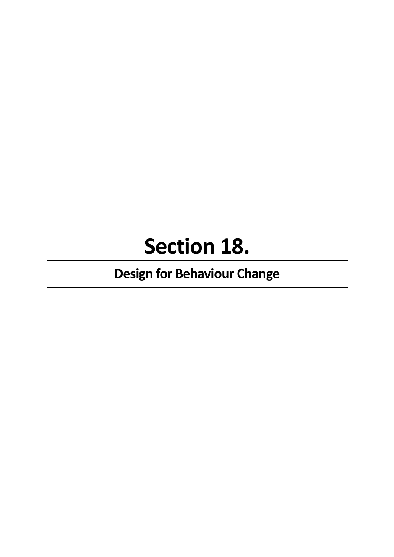## **Section 18.**

## **Design for Behaviour Change**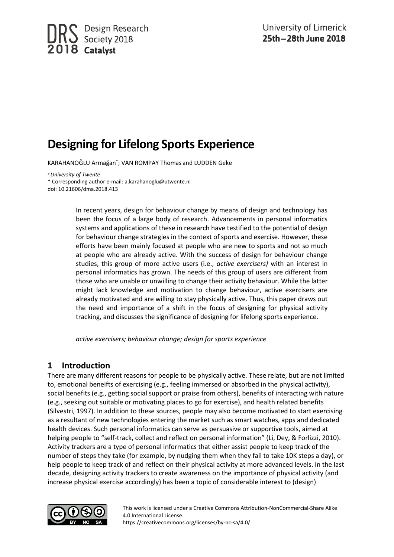### **Designing for Lifelong Sports Experience**

KARAHANOĞLU Armağan\* ; VAN ROMPAY Thomas and LUDDEN Geke

<sup>a</sup>*University of Twente* \* Corresponding author e-mail: a.karahanoglu@utwente.nl doi: 10.21606/dma.2018.413

> In recent years, design for behaviour change by means of design and technology has been the focus of a large body of research. Advancements in personal informatics systems and applications of these in research have testified to the potential of design for behaviour change strategies in the context of sports and exercise. However, these efforts have been mainly focused at people who are new to sports and not so much at people who are already active. With the success of design for behaviour change studies, this group of more active users (i.e., *active exercisers)* with an interest in personal informatics has grown. The needs of this group of users are different from those who are unable or unwilling to change their activity behaviour. While the latter might lack knowledge and motivation to change behaviour, active exercisers are already motivated and are willing to stay physically active. Thus, this paper draws out the need and importance of a shift in the focus of designing for physical activity tracking, and discusses the significance of designing for lifelong sports experience.

*active exercisers; behaviour change; design for sports experience*

#### **1 Introduction**

There are many different reasons for people to be physically active. These relate, but are not limited to, emotional beneifts of exercising (e.g., feeling immersed or absorbed in the physical activity), social benefits (e.g., getting social support or praise from others), benefits of interacting with nature (e.g., seeking out suitable or motivating places to go for exercise), and health related benefits (Silvestri, 1997). In addition to these sources, people may also become motivated to start exercising as a resultant of new technologies entering the market such as smart watches, apps and dedicated health devices. Such personal informatics can serve as persuasive or supportive tools, aimed at helping people to "self-track, collect and reflect on personal information" (Li, Dey, & Forlizzi, 2010). Activity trackers are a type of personal informatics that either assist people to keep track of the number of steps they take (for example, by nudging them when they fail to take 10K steps a day), or help people to keep track of and reflect on their physical activity at more advanced levels. In the last decade, designing activity trackers to create awareness on the importance of physical activity (and increase physical exercise accordingly) has been a topic of considerable interest to (design)



This work is licensed under a Creative Commons Attribution-NonCommercial-Share Alike 4.0 International License. https://creativecommons.org/licenses/by-nc-sa/4.0/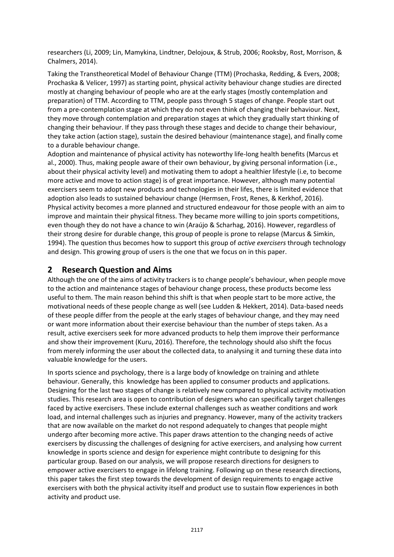researchers (Li, 2009; Lin, Mamykina, Lindtner, Delojoux, & Strub, 2006; Rooksby, Rost, Morrison, & Chalmers, 2014).

Taking the Transtheoretical Model of Behaviour Change (TTM) (Prochaska, Redding, & Evers, 2008; Prochaska & Velicer, 1997) as starting point, physical activity behaviour change studies are directed mostly at changing behaviour of people who are at the early stages (mostly contemplation and preparation) of TTM. According to TTM, people pass through 5 stages of change. People start out from a pre-contemplation stage at which they do not even think of changing their behaviour. Next, they move through contemplation and preparation stages at which they gradually start thinking of changing their behaviour. If they pass through these stages and decide to change their behaviour, they take action (action stage), sustain the desired behaviour (maintenance stage), and finally come to a durable behaviour change.

Adoption and maintenance of physical activity has noteworthy life-long health benefits (Marcus et al., 2000). Thus, making people aware of their own behaviour, by giving personal information (i.e., about their physical activity level) and motivating them to adopt a healthier lifestyle (i.e, to become more active and move to action stage) is of great importance. However, although many potential exercisers seem to adopt new products and technologies in their lifes, there is limited evidence that adoption also leads to sustained behaviour change (Hermsen, Frost, Renes, & Kerkhof, 2016). Physical activity becomes a more planned and structured endeavour for those people with an aim to improve and maintain their physical fitness. They became more willing to join sports competitions, even though they do not have a chance to win (Araújo & Scharhag, 2016). However, regardless of their strong desire for durable change, this group of people is prone to relapse (Marcus & Simkin, 1994). The question thus becomes how to support this group of *active exercisers* through technology and design. This growing group of users is the one that we focus on in this paper.

#### **2 Research Question and Aims**

Although the one of the aims of activity trackers is to change people's behaviour, when people move to the action and maintenance stages of behaviour change process, these products become less useful to them. The main reason behind this shift is that when people start to be more active, the motivational needs of these people change as well (see Ludden & Hekkert, 2014). Data-based needs of these people differ from the people at the early stages of behaviour change, and they may need or want more information about their exercise behaviour than the number of steps taken. As a result, active exercisers seek for more advanced products to help them improve their performance and show their improvement (Kuru, 2016). Therefore, the technology should also shift the focus from merely informing the user about the collected data, to analysing it and turning these data into valuable knowledge for the users.

In sports science and psychology, there is a large body of knowledge on training and athlete behaviour. Generally, this knowledge has been applied to consumer products and applications. Designing for the last two stages of change is relatively new compared to physical activity motivation studies. This research area is open to contribution of designers who can specifically target challenges faced by active exercisers. These include external challenges such as weather conditions and work load, and internal challenges such as injuries and pregnancy. However, many of the activity trackers that are now available on the market do not respond adequately to changes that people might undergo after becoming more active. This paper draws attention to the changing needs of active exercisers by discussing the challenges of designing for active exercisers, and analysing how current knowledge in sports science and design for experience might contribute to designing for this particular group. Based on our analysis, we will propose research directions for designers to empower active exercisers to engage in lifelong training. Following up on these research directions, this paper takes the first step towards the development of design requirements to engage active exercisers with both the physical activity itself and product use to sustain flow experiences in both activity and product use.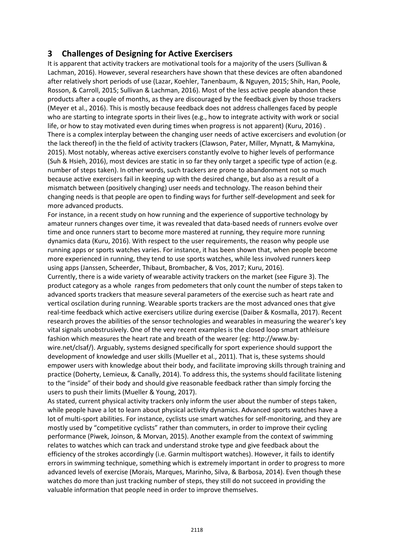#### **3 Challenges of Designing for Active Exercisers**

It is apparent that activity trackers are motivational tools for a majority of the users (Sullivan & Lachman, 2016). However, several researchers have shown that these devices are often abandoned after relatively short periods of use (Lazar, Koehler, Tanenbaum, & Nguyen, 2015; Shih, Han, Poole, Rosson, & Carroll, 2015; Sullivan & Lachman, 2016). Most of the less active people abandon these products after a couple of months, as they are discouraged by the feedback given by those trackers (Meyer et al., 2016). This is mostly because feedback does not address challenges faced by people who are starting to integrate sports in their lives (e.g., how to integrate activity with work or social life, or how to stay motivated even during times when progress is not apparent) (Kuru, 2016) . There is a complex interplay between the changing user needs of active excercisers and evolution (or the lack thereof) in the the field of activity trackers (Clawson, Pater, Miller, Mynatt, & Mamykina, 2015). Most notably, whereas active exercisers constantly evolve to higher levels of performance (Suh & Hsieh, 2016), most devices are static in so far they only target a specific type of action (e.g. number of steps taken). In other words, such trackers are prone to abandonment not so much because active exercisers fail in keeping up with the desired change, but also as a result of a mismatch between (positively changing) user needs and technology. The reason behind their changing needs is that people are open to finding ways for further self-development and seek for more advanced products.

For instance, in a recent study on how running and the experience of supportive technology by amateur runners changes over time, it was revealed that data-based needs of runners evolve over time and once runners start to become more mastered at running, they require more running dynamics data (Kuru, 2016). With respect to the user requirements, the reason why people use running apps or sports watches varies. For instance, it has been shown that, when people become more experienced in running, they tend to use sports watches, while less involved runners keep using apps (Janssen, Scheerder, Thibaut, Brombacher, & Vos, 2017; Kuru, 2016).

Currently, there is a wide variety of wearable activity trackers on the market (see Figure 3). The product category as a whole ranges from pedometers that only count the number of steps taken to advanced sports trackers that measure several parameters of the exercise such as heart rate and vertical oscilation during running. Wearable sports trackers are the most advanced ones that give real-time feedback which active exercisers utilize during exercise (Daiber & Kosmalla, 2017). Recent research proves the abilities of the sensor technologies and wearables in measuring the wearer's key vital signals unobstrusively. One of the very recent examples is the closed loop smart athleisure fashion which measures the heart rate and breath of the wearer (eg: http://www.by-

wire.net/clsaf/). Arguably, systems designed specifically for sport experience should support the development of knowledge and user skills (Mueller et al., 2011). That is, these systems should empower users with knowledge about their body, and facilitate improving skills through training and practice (Doherty, Lemieux, & Canally, 2014). To address this, the systems should facilitate listening to the "inside" of their body and should give reasonable feedback rather than simply forcing the users to push their limits (Mueller & Young, 2017).

As stated, current physical activity trackers only inform the user about the number of steps taken, while people have a lot to learn about physical activity dynamics. Advanced sports watches have a lot of multi-sport abilities. For instance, cyclists use smart watches for self-monitoring, and they are mostly used by "competitive cyclists" rather than commuters, in order to improve their cycling performance (Piwek, Joinson, & Morvan, 2015). Another example from the context of swimming relates to watches which can track and understand stroke type and give feedback about the efficiency of the strokes accordingly (i.e. Garmin multisport watches). However, it fails to identify errors in swimming technique, something which is extremely important in order to progress to more advanced levels of exercise (Morais, Marques, Marinho, Silva, & Barbosa, 2014). Even though these watches do more than just tracking number of steps, they still do not succeed in providing the valuable information that people need in order to improve themselves.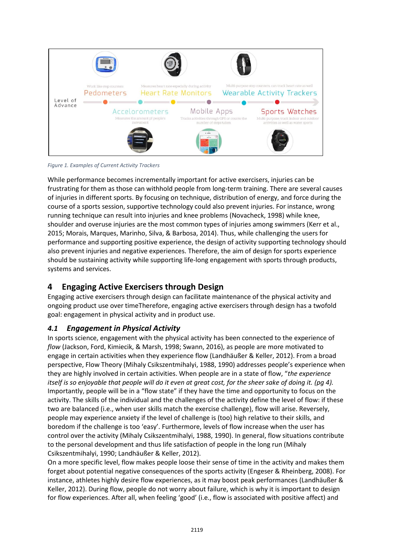

*Figure 1. Examples of Current Activity Trackers*

While performance becomes incrementally important for active exercisers, injuries can be frustrating for them as those can withhold people from long-term training. There are several causes of injuries in different sports. By focusing on technique, distribution of energy, and force during the course of a sports session, supportive technology could also prevent injuries. For instance, wrong running technique can result into injuries and knee problems (Novacheck, 1998) while knee, shoulder and overuse injuries are the most common types of injuries among swimmers (Kerr et al., 2015; Morais, Marques, Marinho, Silva, & Barbosa, 2014). Thus, while challenging the users for performance and supporting positive experience, the design of activity supporting technology should also prevent injuries and negative experiences. Therefore, the aim of design for sports experience should be sustaining activity while supporting life-long engagement with sports through products, systems and services.

#### **4 Engaging Active Exercisers through Design**

Engaging active exercisers through design can facilitate maintenance of the physical activity and ongoing product use over timeTherefore, engaging active exercisers through design has a twofold goal: engagement in physical activity and in product use.

#### *4.1 Engagement in Physical Activity*

In sports science, engagement with the physical activity has been connected to the experience of *flow* (Jackson, Ford, Kimiecik, & Marsh, 1998; Swann, 2016), as people are more motivated to engage in certain activities when they experience flow (Landhäußer & Keller, 2012). From a broad perspective, Flow Theory (Mihaly Csikszentmihalyi, 1988, 1990) addresses people's experience when they are highly involved in certain activities. When people are in a state of flow, "*the experience itself is so enjoyable that people will do it even at great cost, for the sheer sake of doing it. (pg 4).*  Importantly, people will be in a "flow state" if they have the time and opportunity to focus on the activity. The skills of the individual and the challenges of the activity define the level of flow: if these two are balanced (i.e., when user skills match the exercise challenge), flow will arise. Reversely, people may experience anxiety if the level of challenge is (too) high relative to their skills, and boredom if the challenge is too 'easy'. Furthermore, levels of flow increase when the user has control over the activity (Mihaly Csikszentmihalyi, 1988, 1990). In general, flow situations contribute to the personal development and thus life satisfaction of people in the long run (Mihaly Csikszentmihalyi, 1990; Landhäußer & Keller, 2012).

On a more specific level, flow makes people loose their sense of time in the activity and makes them forget about potential negative consequences of the sports activity (Engeser & Rheinberg, 2008). For instance, athletes highly desire flow experiences, as it may boost peak performances (Landhäußer & Keller, 2012). During flow, people do not worry about failure, which is why it is important to design for flow experiences. After all, when feeling 'good' (i.e., flow is associated with positive affect) and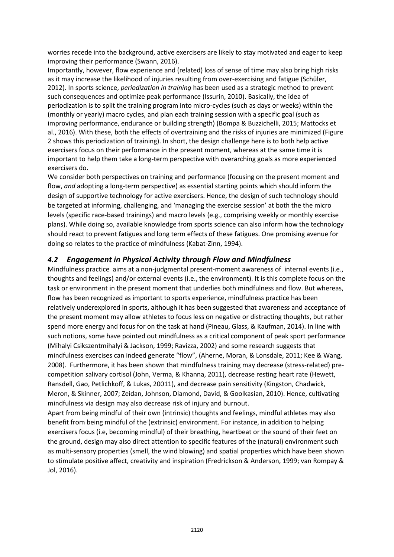worries recede into the background, active exercisers are likely to stay motivated and eager to keep improving their performance (Swann, 2016).

Importantly, however, flow experience and (related) loss of sense of time may also bring high risks as it may increase the likelihood of injuries resulting from over-exercising and fatigue (Schüler, 2012). In sports science, *periodization in training* has been used as a strategic method to prevent such consequences and optimize peak performance (Issurin, 2010). Basically, the idea of periodization is to split the training program into micro-cycles (such as days or weeks) within the (monthly or yearly) macro cycles, and plan each training session with a specific goal (such as improving performance, endurance or building strength) (Bompa & Buzzichelli, 2015; Mattocks et al., 2016). With these, both the effects of overtraining and the risks of injuries are minimized (Figure 2 shows this periodization of training). In short, the design challenge here is to both help active exercisers focus on their performance in the present moment, whereas at the same time it is important to help them take a long-term perspective with overarching goals as more experienced exercisers do.

We consider both perspectives on training and performance (focusing on the present moment and flow, *and* adopting a long-term perspective) as essential starting points which should inform the design of supportive technology for active exercisers. Hence, the design of such technology should be targeted at informing, challenging, and 'managing the exercise session' at both the the micro levels (specific race-based trainings) and macro levels (e.g., comprising weekly or monthly exercise plans). While doing so, available knowledge from sports science can also inform how the technology should react to prevent fatigues and long term effects of these fatigues. One promising avenue for doing so relates to the practice of mindfulness (Kabat-Zinn, 1994).

#### *4.2 Engagement in Physical Activity through Flow and Mindfulness*

Mindfulness practice aims at a non-judgmental present-moment awareness of internal events (i.e., thoughts and feelings) and/or external events (i.e., the environment). It is this complete focus on the task or environment in the present moment that underlies both mindfulness and flow. But whereas, flow has been recognized as important to sports experience, mindfulness practice has been relatively underexplored in sports, although it has been suggested that awareness and acceptance of the present moment may allow athletes to focus less on negative or distracting thoughts, but rather spend more energy and focus for on the task at hand (Pineau, Glass, & Kaufman, 2014). In line with such notions, some have pointed out mindfulness as a critical component of peak sport performance (Mihalyi Csikszentmihalyi & Jackson, 1999; Ravizza, 2002) and some research suggests that mindfulness exercises can indeed generate "flow", (Aherne, Moran, & Lonsdale, 2011; Kee & Wang, 2008). Furthermore, it has been shown that mindfulness training may decrease (stress-related) precompetition salivary cortisol (John, Verma, & Khanna, 2011), decrease resting heart rate (Hewett, Ransdell, Gao, Petlichkoff, & Lukas, 20011), and decrease pain sensitivity (Kingston, Chadwick, Meron, & Skinner, 2007; Zeidan, Johnson, Diamond, David, & Goolkasian, 2010). Hence, cultivating mindfulness via design may also decrease risk of injury and burnout.

Apart from being mindful of their own (intrinsic) thoughts and feelings, mindful athletes may also benefit from being mindful of the (extrinsic) environment. For instance, in addition to helping exercisers focus (i.e, becoming mindful) of their breathing, heartbeat or the sound of their feet on the ground, design may also direct attention to specific features of the (natural) environment such as multi-sensory properties (smell, the wind blowing) and spatial properties which have been shown to stimulate positive affect, creativity and inspiration (Fredrickson & Anderson, 1999; van Rompay & Jol, 2016).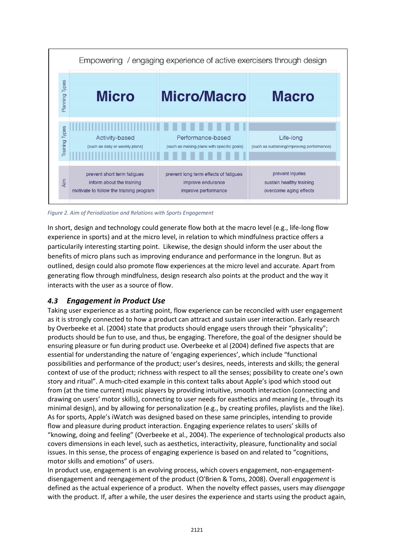

*Figure 2. Aim of Periodization and Relations with Sports Engagement*

In short, design and technology could generate flow both at the macro level (e.g., life-long flow experience in sports) and at the micro level, in relation to which mindfulness practice offers a particularily interesting starting point. Likewise, the design should inform the user about the benefits of micro plans such as improving endurance and performance in the longrun. But as outlined, design could also promote flow experiences at the micro level and accurate. Apart from generating flow through mindfulness, design research also points at the product and the way it interacts with the user as a source of flow.

#### *4.3 Engagement in Product Use*

Taking user experience as a starting point, flow experience can be reconciled with user engagement as it is strongly connected to how a product can attract and sustain user interaction. Early research by Overbeeke et al. (2004) state that products should engage users through their "physicality"; products should be fun to use, and thus, be engaging. Therefore, the goal of the designer should be ensuring pleasure or fun during product use. Overbeeke et al (2004) defined five aspects that are essential for understanding the nature of 'engaging experiences', which include "functional possibilities and performance of the product; user's desires, needs, interests and skills; the general context of use of the product; richness with respect to all the senses; possibility to create one's own story and ritual". A much-cited example in this context talks about Apple's ipod which stood out from (at the time current) music players by providing intuitive, smooth interaction (connecting and drawing on users' motor skills), connecting to user needs for easthetics and meaning (e., through its minimal design), and by allowing for personalization (e.g., by creating profiles, playlists and the like). As for sports, Apple's iWatch was designed based on these same principles, intending to provide flow and pleasure during product interaction. Engaging experience relates to users' skills of "knowing, doing and feeling" (Overbeeke et al., 2004). The experience of technological products also covers dimensions in each level, such as aesthetics, interactivity, pleasure, functionality and social issues. In this sense, the process of engaging experience is based on and related to "cognitions, motor skills and emotions" of users.

In product use, engagement is an evolving process, which covers engagement, non-engagementdisengagement and reengagement of the product (O'Brien & Toms, 2008). Overall *engagement* is defined as the actual experience of a product. When the novelty effect passes, users may *disengage* with the product. If, after a while, the user desires the experience and starts using the product again,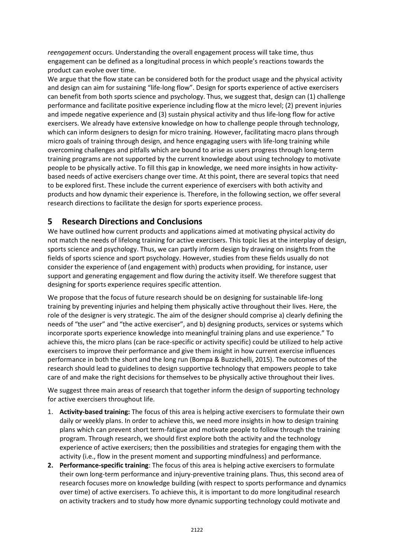*reengagement* occurs. Understanding the overall engagement process will take time, thus engagement can be defined as a longitudinal process in which people's reactions towards the product can evolve over time.

We argue that the flow state can be considered both for the product usage and the physical activity and design can aim for sustaining "life-long flow". Design for sports experience of active exercisers can benefit from both sports science and psychology. Thus, we suggest that, design can (1) challenge performance and facilitate positive experience including flow at the micro level; (2) prevent injuries and impede negative experience and (3) sustain physical activity and thus life-long flow for active exercisers. We already have extensive knowledge on how to challenge people through technology, which can inform designers to design for micro training. However, facilitating macro plans through micro goals of training through design, and hence engagaging users with life-long training while overcoming challenges and pitfalls which are bound to arise as users progress through long-term training programs are not supported by the current knowledge about using technology to motivate people to be physically active. To fill this gap in knowledge, we need more insights in how activitybased needs of active exercisers change over time. At this point, there are several topics that need to be explored first. These include the current experience of exercisers with both activity and products and how dynamic their experience is. Therefore, in the following section, we offer several research directions to facilitate the design for sports experience process.

#### **5 Research Directions and Conclusions**

We have outlined how current products and applications aimed at motivating physical activity do not match the needs of lifelong training for active exercisers. This topic lies at the interplay of design, sports science and psychology. Thus, we can partly inform design by drawing on insights from the fields of sports science and sport psychology. However, studies from these fields usually do not consider the experience of (and engagement with) products when providing, for instance, user support and generating engagement and flow during the activity itself. We therefore suggest that designing for sports experience requires specific attention.

We propose that the focus of future research should be on designing for sustainable life-long training by preventing injuries and helping them physically active throughout their lives. Here, the role of the designer is very strategic. The aim of the designer should comprise a) clearly defining the needs of "the user" and "the active exerciser", and b) designing products, services or systems which incorporate sports experience knowledge into meaningful training plans and use experience." To achieve this, the micro plans (can be race-specific or activity specific) could be utilized to help active exercisers to improve their performance and give them insight in how current exercise influences performance in both the short and the long run (Bompa & Buzzichelli, 2015). The outcomes of the research should lead to guidelines to design supportive technology that empowers people to take care of and make the right decisions for themselves to be physically active throughout their lives.

We suggest three main areas of research that together inform the design of supporting technology for active exercisers throughout life.

- 1. **Activity-based training:** The focus of this area is helping active exercisers to formulate their own daily or weekly plans. In order to achieve this, we need more insights in how to design training plans which can prevent short term-fatigue and motivate people to follow through the training program. Through research, we should first explore both the activity and the technology experience of active exercisers; then the possibilities and strategies for engaging them with the activity (i.e., flow in the present moment and supporting mindfulness) and performance.
- **2. Performance-specific training**: The focus of this area is helping active exercisers to formulate their own long-term performance and injury-preventive training plans. Thus, this second area of research focuses more on knowledge building (with respect to sports performance and dynamics over time) of active exercisers. To achieve this, it is important to do more longitudinal research on activity trackers and to study how more dynamic supporting technology could motivate and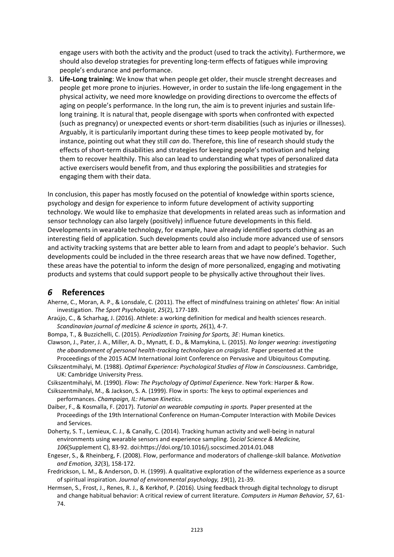engage users with both the activity and the product (used to track the activity). Furthermore, we should also develop strategies for preventing long-term effects of fatigues while improving people's endurance and performance.

3. **Life-Long training**: We know that when people get older, their muscle strenght decreases and people get more prone to injuries. However, in order to sustain the life-long engagement in the physical activity, we need more knowledge on providing directions to overcome the effects of aging on people's performance. In the long run, the aim is to prevent injuries and sustain lifelong training. It is natural that, people disengage with sports when confronted with expected (such as pregnancy) or unexpected events or short-term disabilities (such as injuries or illnesses). Arguably, it is particularily important during these times to keep people motivated by, for instance, pointing out what they still *can* do. Therefore, this line of research should study the effects of short-term disabilities and strategies for keeping people's motivation and helping them to recover healthily. This also can lead to understanding what types of personalized data active exercisers would benefit from, and thus exploring the possibilities and strategies for engaging them with their data.

In conclusion, this paper has mostly focused on the potential of knowledge within sports science, psychology and design for experience to inform future development of activity supporting technology. We would like to emphasize that developments in related areas such as information and sensor technology can also largely (positively) influence future developments in this field. Developments in wearable technology, for example, have already identified sports clothing as an interesting field of application. Such developments could also include more advanced use of sensors and activity tracking systems that are better able to learn from and adapt to people's behavior. Such developments could be included in the three research areas that we have now defined. Together, these areas have the potential to inform the design of more personalized, engaging and motivating products and systems that could support people to be physically active throughout their lives.

#### *6* **References**

- Aherne, C., Moran, A. P., & Lonsdale, C. (2011). The effect of mindfulness training on athletes' flow: An initial investigation. *The Sport Psychologist, 25*(2), 177-189.
- Araújo, C., & Scharhag, J. (2016). Athlete: a working definition for medical and health sciences research. *Scandinavian journal of medicine & science in sports, 26*(1), 4-7.
- Bompa, T., & Buzzichelli, C. (2015). *Periodization Training for Sports, 3E*: Human kinetics.
- Clawson, J., Pater, J. A., Miller, A. D., Mynatt, E. D., & Mamykina, L. (2015). *No longer wearing: investigating the abandonment of personal health-tracking technologies on craigslist.* Paper presented at the Proceedings of the 2015 ACM International Joint Conference on Pervasive and Ubiquitous Computing.
- Csikszentmihalyi, M. (1988). *Optimal Experience: Psychological Studies of Flow in Consciousness*. Cambridge, UK: Cambridge University Press.
- Csikszentmihalyi, M. (1990). *Flow: The Psychology of Optimal Experience*. New York: Harper & Row.
- Csikszentmihalyi, M., & Jackson, S. A. (1999). Flow in sports: The keys to optimal experiences and performances. *Champaign, IL: Human Kinetics*.
- Daiber, F., & Kosmalla, F. (2017). *Tutorial on wearable computing in sports.* Paper presented at the Proceedings of the 19th International Conference on Human-Computer Interaction with Mobile Devices and Services.
- Doherty, S. T., Lemieux, C. J., & Canally, C. (2014). Tracking human activity and well-being in natural environments using wearable sensors and experience sampling. *Social Science & Medicine, 106*(Supplement C), 83-92. doi:https://doi.org/10.1016/j.socscimed.2014.01.048
- Engeser, S., & Rheinberg, F. (2008). Flow, performance and moderators of challenge-skill balance. *Motivation and Emotion, 32*(3), 158-172.
- Fredrickson, L. M., & Anderson, D. H. (1999). A qualitative exploration of the wilderness experience as a source of spiritual inspiration. *Journal of environmental psychology, 19*(1), 21-39.
- Hermsen, S., Frost, J., Renes, R. J., & Kerkhof, P. (2016). Using feedback through digital technology to disrupt and change habitual behavior: A critical review of current literature. *Computers in Human Behavior, 57*, 61- 74.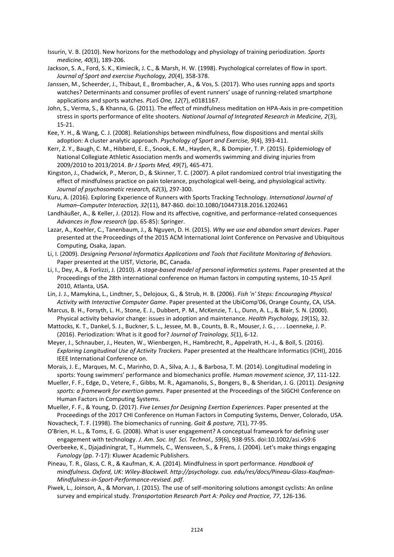- Issurin, V. B. (2010). New horizons for the methodology and physiology of training periodization. *Sports medicine, 40*(3), 189-206.
- Jackson, S. A., Ford, S. K., Kimiecik, J. C., & Marsh, H. W. (1998). Psychological correlates of flow in sport. *Journal of Sport and exercise Psychology, 20*(4), 358-378.
- Janssen, M., Scheerder, J., Thibaut, E., Brombacher, A., & Vos, S. (2017). Who uses running apps and sports watches? Determinants and consumer profiles of event runners' usage of running-related smartphone applications and sports watches. *PLoS One, 12*(7), e0181167.
- John, S., Verma, S., & Khanna, G. (2011). The effect of mindfulness meditation on HPA-Axis in pre-competition stress in sports performance of elite shooters. *National Journal of Integrated Research in Medicine, 2*(3), 15-21.
- Kee, Y. H., & Wang, C. J. (2008). Relationships between mindfulness, flow dispositions and mental skills adoption: A cluster analytic approach. *Psychology of Sport and Exercise, 9*(4), 393-411.
- Kerr, Z. Y., Baugh, C. M., Hibberd, E. E., Snook, E. M., Hayden, R., & Dompier, T. P. (2015). Epidemiology of National Collegiate Athletic Association men9s and women9s swimming and diving injuries from 2009/2010 to 2013/2014. *Br J Sports Med, 49*(7), 465-471.
- Kingston, J., Chadwick, P., Meron, D., & Skinner, T. C. (2007). A pilot randomized control trial investigating the effect of mindfulness practice on pain tolerance, psychological well-being, and physiological activity. *Journal of psychosomatic research, 62*(3), 297-300.
- Kuru, A. (2016). Exploring Experience of Runners with Sports Tracking Technology. *International Journal of Human–Computer Interaction, 32*(11), 847-860. doi:10.1080/10447318.2016.1202461
- Landhäußer, A., & Keller, J. (2012). Flow and its affective, cognitive, and performance-related consequences *Advances in flow research* (pp. 65-85): Springer.
- Lazar, A., Koehler, C., Tanenbaum, J., & Nguyen, D. H. (2015). *Why we use and abandon smart devices*. Paper presented at the Proceedings of the 2015 ACM International Joint Conference on Pervasive and Ubiquitous Computing, Osaka, Japan.
- Li, I. (2009). *Designing Personal Informatics Applications and Tools that Facilitate Monitoring of Behaviors.* Paper presented at the UIST, Victorie, BC, Canada.
- Li, I., Dey, A., & Forlizzi, J. (2010). *A stage-based model of personal informatics systems.* Paper presented at the Proceedings of the 28th international conference on Human factors in computing systems, 10-15 April 2010, Atlanta, USA.
- Lin, J. J., Mamykina, L., Lindtner, S., Delojoux, G., & Strub, H. B. (2006). *Fish 'n' Steps: Encouraging Physical Activity with Interactive Computer Game*. Paper presented at the UbiComp'06, Orange County, CA, USA.
- Marcus, B. H., Forsyth, L. H., Stone, E. J., Dubbert, P. M., McKenzie, T. L., Dunn, A. L., & Blair, S. N. (2000). Physical activity behavior change: issues in adoption and maintenance. *Health Psychology, 19*(1S), 32.
- Mattocks, K. T., Dankel, S. J., Buckner, S. L., Jessee, M. B., Counts, B. R., Mouser, J. G., . . . Loenneke, J. P. (2016). Periodization: What is it good for? *Journal of Trainology, 5*(1), 6-12.
- Meyer, J., Schnauber, J., Heuten, W., Wienbergen, H., Hambrecht, R., Appelrath, H.-J., & Boll, S. (2016). *Exploring Longitudinal Use of Activity Trackers.* Paper presented at the Healthcare Informatics (ICHI), 2016 IEEE International Conference on.
- Morais, J. E., Marques, M. C., Marinho, D. A., Silva, A. J., & Barbosa, T. M. (2014). Longitudinal modeling in sports: Young swimmers' performance and biomechanics profile. *Human movement science, 37*, 111-122.
- Mueller, F. F., Edge, D., Vetere, F., Gibbs, M. R., Agamanolis, S., Bongers, B., & Sheridan, J. G. (2011). *Designing sports: a framework for exertion games.* Paper presented at the Proceedings of the SIGCHI Conference on Human Factors in Computing Systems.

Mueller, F. F., & Young, D. (2017). *Five Lenses for Designing Exertion Experiences*. Paper presented at the Proceedings of the 2017 CHI Conference on Human Factors in Computing Systems, Denver, Colorado, USA.

- Novacheck, T. F. (1998). The biomechanics of running. *Gait & posture, 7*(1), 77-95.
- O'Brien, H. L., & Toms, E. G. (2008). What is user engagement? A conceptual framework for defining user engagement with technology. *J. Am. Soc. Inf. Sci. Technol., 59*(6), 938-955. doi:10.1002/asi.v59:6
- Overbeeke, K., Djajadiningrat, T., Hummels, C., Wensveen, S., & Frens, J. (2004). Let's make things engaging *Funology* (pp. 7-17): Kluwer Academic Publishers.
- Pineau, T. R., Glass, C. R., & Kaufman, K. A. (2014). Mindfulness in sport performance. *Handbook of mindfulness. Oxford, UK: Wiley-Blackwell. http://psychology. cua. edu/res/docs/Pineau-Glass-Kaufman-Mindfulness-in-Sport-Performance-revised. pdf*.
- Piwek, L., Joinson, A., & Morvan, J. (2015). The use of self-monitoring solutions amongst cyclists: An online survey and empirical study. *Transportation Research Part A: Policy and Practice, 77*, 126-136.